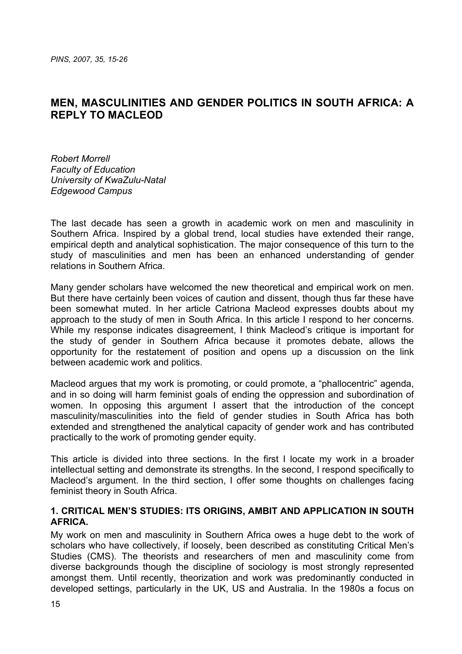# **MEN, MASCULINITIES AND GENDER POLITICS IN SOUTH AFRICA: A REPLY TO MACLEOD**

*Robert Morrell Faculty of Education University of KwaZulu-Natal Edgewood Campus*

The last decade has seen a growth in academic work on men and masculinity in Southern Africa. Inspired by a global trend, local studies have extended their range, empirical depth and analytical sophistication. The major consequence of this turn to the study of masculinities and men has been an enhanced understanding of gender relations in Southern Africa.

Many gender scholars have welcomed the new theoretical and empirical work on men. But there have certainly been voices of caution and dissent, though thus far these have been somewhat muted. In her article Catriona Macleod expresses doubts about my approach to the study of men in South Africa. In this article I respond to her concerns. While my response indicates disagreement, I think Macleod's critique is important for the study of gender in Southern Africa because it promotes debate, allows the opportunity for the restatement of position and opens up a discussion on the link between academic work and politics.

Macleod argues that my work is promoting, or could promote, a "phallocentric" agenda, and in so doing will harm feminist goals of ending the oppression and subordination of women. In opposing this argument I assert that the introduction of the concept masculinity/masculinities into the field of gender studies in South Africa has both extended and strengthened the analytical capacity of gender work and has contributed practically to the work of promoting gender equity.

This article is divided into three sections. In the first I locate my work in a broader intellectual setting and demonstrate its strengths. In the second, I respond specifically to Macleod's argument. In the third section, I offer some thoughts on challenges facing feminist theory in South Africa.

### **1. CRITICAL MEN'S STUDIES: ITS ORIGINS, AMBIT AND APPLICATION IN SOUTH AFRICA.**

My work on men and masculinity in Southern Africa owes a huge debt to the work of scholars who have collectively, if loosely, been described as constituting Critical Men's Studies (CMS). The theorists and researchers of men and masculinity come from diverse backgrounds though the discipline of sociology is most strongly represented amongst them. Until recently, theorization and work was predominantly conducted in developed settings, particularly in the UK, US and Australia. In the 1980s a focus on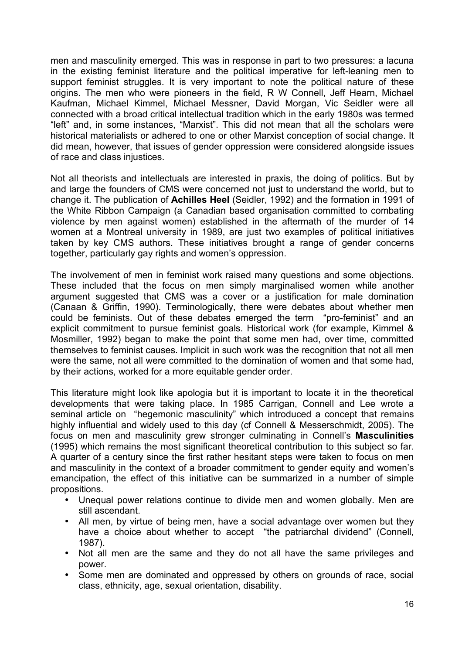men and masculinity emerged. This was in response in part to two pressures: a lacuna in the existing feminist literature and the political imperative for left-leaning men to support feminist struggles. It is very important to note the political nature of these origins. The men who were pioneers in the field, R W Connell, Jeff Hearn, Michael Kaufman, Michael Kimmel, Michael Messner, David Morgan, Vic Seidler were all connected with a broad critical intellectual tradition which in the early 1980s was termed "left" and, in some instances, "Marxist". This did not mean that all the scholars were historical materialists or adhered to one or other Marxist conception of social change. It did mean, however, that issues of gender oppression were considered alongside issues of race and class injustices.

Not all theorists and intellectuals are interested in praxis, the doing of politics. But by and large the founders of CMS were concerned not just to understand the world, but to change it. The publication of **Achilles Heel** (Seidler, 1992) and the formation in 1991 of the White Ribbon Campaign (a Canadian based organisation committed to combating violence by men against women) established in the aftermath of the murder of 14 women at a Montreal university in 1989, are just two examples of political initiatives taken by key CMS authors. These initiatives brought a range of gender concerns together, particularly gay rights and women's oppression.

The involvement of men in feminist work raised many questions and some objections. These included that the focus on men simply marginalised women while another argument suggested that CMS was a cover or a justification for male domination (Canaan & Griffin, 1990). Terminologically, there were debates about whether men could be feminists. Out of these debates emerged the term "pro-feminist" and an explicit commitment to pursue feminist goals. Historical work (for example, Kimmel & Mosmiller, 1992) began to make the point that some men had, over time, committed themselves to feminist causes. Implicit in such work was the recognition that not all men were the same, not all were committed to the domination of women and that some had, by their actions, worked for a more equitable gender order.

This literature might look like apologia but it is important to locate it in the theoretical developments that were taking place. In 1985 Carrigan, Connell and Lee wrote a seminal article on "hegemonic masculinity" which introduced a concept that remains highly influential and widely used to this day (cf Connell & Messerschmidt, 2005). The focus on men and masculinity grew stronger culminating in Connell's **Masculinities** (1995) which remains the most significant theoretical contribution to this subject so far. A quarter of a century since the first rather hesitant steps were taken to focus on men and masculinity in the context of a broader commitment to gender equity and women's emancipation, the effect of this initiative can be summarized in a number of simple propositions.

- Unequal power relations continue to divide men and women globally. Men are still ascendant.
- All men, by virtue of being men, have a social advantage over women but they have a choice about whether to accept "the patriarchal dividend" (Connell, 1987).
- Not all men are the same and they do not all have the same privileges and power.
- Some men are dominated and oppressed by others on grounds of race, social class, ethnicity, age, sexual orientation, disability.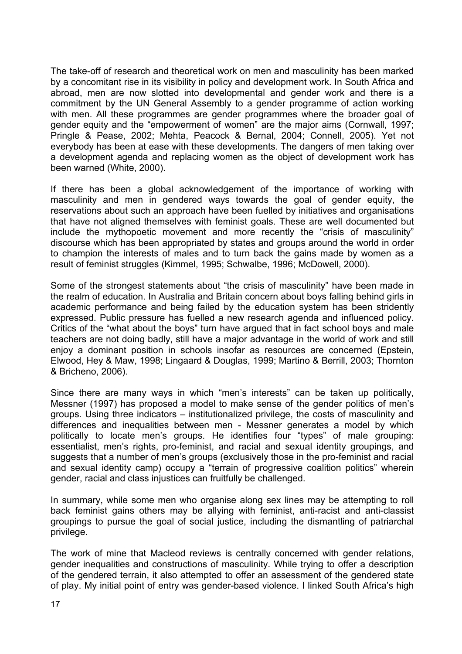The take-off of research and theoretical work on men and masculinity has been marked by a concomitant rise in its visibility in policy and development work. In South Africa and abroad, men are now slotted into developmental and gender work and there is a commitment by the UN General Assembly to a gender programme of action working with men. All these programmes are gender programmes where the broader goal of gender equity and the "empowerment of women" are the major aims (Cornwall, 1997; Pringle & Pease, 2002; Mehta, Peacock & Bernal, 2004; Connell, 2005). Yet not everybody has been at ease with these developments. The dangers of men taking over a development agenda and replacing women as the object of development work has been warned (White, 2000).

If there has been a global acknowledgement of the importance of working with masculinity and men in gendered ways towards the goal of gender equity, the reservations about such an approach have been fuelled by initiatives and organisations that have not aligned themselves with feminist goals. These are well documented but include the mythopoetic movement and more recently the "crisis of masculinity" discourse which has been appropriated by states and groups around the world in order to champion the interests of males and to turn back the gains made by women as a result of feminist struggles (Kimmel, 1995; Schwalbe, 1996; McDowell, 2000).

Some of the strongest statements about "the crisis of masculinity" have been made in the realm of education. In Australia and Britain concern about boys falling behind girls in academic performance and being failed by the education system has been stridently expressed. Public pressure has fuelled a new research agenda and influenced policy. Critics of the "what about the boys" turn have argued that in fact school boys and male teachers are not doing badly, still have a major advantage in the world of work and still enjoy a dominant position in schools insofar as resources are concerned (Epstein, Elwood, Hey & Maw, 1998; Lingaard & Douglas, 1999; Martino & Berrill, 2003; Thornton & Bricheno, 2006).

Since there are many ways in which "men's interests" can be taken up politically, Messner (1997) has proposed a model to make sense of the gender politics of men's groups. Using three indicators – institutionalized privilege, the costs of masculinity and differences and inequalities between men - Messner generates a model by which politically to locate men's groups. He identifies four "types" of male grouping: essentialist, men's rights, pro-feminist, and racial and sexual identity groupings, and suggests that a number of men's groups (exclusively those in the pro-feminist and racial and sexual identity camp) occupy a "terrain of progressive coalition politics" wherein gender, racial and class injustices can fruitfully be challenged.

In summary, while some men who organise along sex lines may be attempting to roll back feminist gains others may be allying with feminist, anti-racist and anti-classist groupings to pursue the goal of social justice, including the dismantling of patriarchal privilege.

The work of mine that Macleod reviews is centrally concerned with gender relations, gender inequalities and constructions of masculinity. While trying to offer a description of the gendered terrain, it also attempted to offer an assessment of the gendered state of play. My initial point of entry was gender-based violence. I linked South Africa's high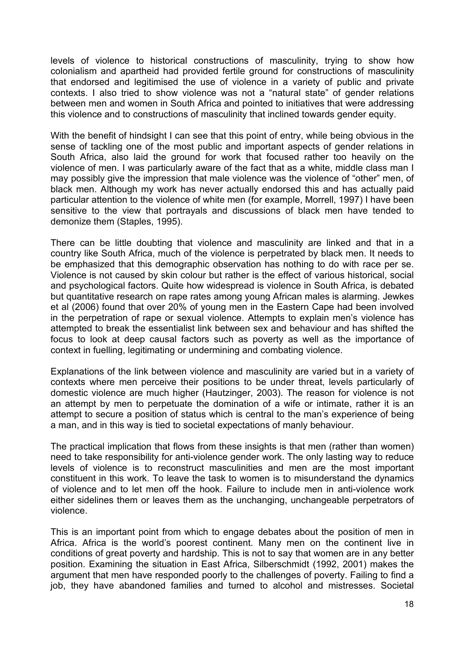levels of violence to historical constructions of masculinity, trying to show how colonialism and apartheid had provided fertile ground for constructions of masculinity that endorsed and legitimised the use of violence in a variety of public and private contexts. I also tried to show violence was not a "natural state" of gender relations between men and women in South Africa and pointed to initiatives that were addressing this violence and to constructions of masculinity that inclined towards gender equity.

With the benefit of hindsight I can see that this point of entry, while being obvious in the sense of tackling one of the most public and important aspects of gender relations in South Africa, also laid the ground for work that focused rather too heavily on the violence of men. I was particularly aware of the fact that as a white, middle class man I may possibly give the impression that male violence was the violence of "other" men, of black men. Although my work has never actually endorsed this and has actually paid particular attention to the violence of white men (for example, Morrell, 1997) I have been sensitive to the view that portrayals and discussions of black men have tended to demonize them (Staples, 1995).

There can be little doubting that violence and masculinity are linked and that in a country like South Africa, much of the violence is perpetrated by black men. It needs to be emphasized that this demographic observation has nothing to do with race per se. Violence is not caused by skin colour but rather is the effect of various historical, social and psychological factors. Quite how widespread is violence in South Africa, is debated but quantitative research on rape rates among young African males is alarming. Jewkes et al (2006) found that over 20% of young men in the Eastern Cape had been involved in the perpetration of rape or sexual violence. Attempts to explain men's violence has attempted to break the essentialist link between sex and behaviour and has shifted the focus to look at deep causal factors such as poverty as well as the importance of context in fuelling, legitimating or undermining and combating violence.

Explanations of the link between violence and masculinity are varied but in a variety of contexts where men perceive their positions to be under threat, levels particularly of domestic violence are much higher (Hautzinger, 2003). The reason for violence is not an attempt by men to perpetuate the domination of a wife or intimate, rather it is an attempt to secure a position of status which is central to the man's experience of being a man, and in this way is tied to societal expectations of manly behaviour.

The practical implication that flows from these insights is that men (rather than women) need to take responsibility for anti-violence gender work. The only lasting way to reduce levels of violence is to reconstruct masculinities and men are the most important constituent in this work. To leave the task to women is to misunderstand the dynamics of violence and to let men off the hook. Failure to include men in anti-violence work either sidelines them or leaves them as the unchanging, unchangeable perpetrators of violence.

This is an important point from which to engage debates about the position of men in Africa. Africa is the world's poorest continent. Many men on the continent live in conditions of great poverty and hardship. This is not to say that women are in any better position. Examining the situation in East Africa, Silberschmidt (1992, 2001) makes the argument that men have responded poorly to the challenges of poverty. Failing to find a job, they have abandoned families and turned to alcohol and mistresses. Societal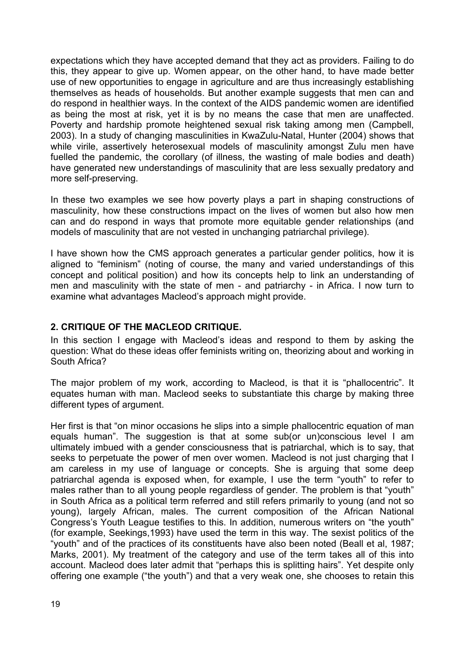expectations which they have accepted demand that they act as providers. Failing to do this, they appear to give up. Women appear, on the other hand, to have made better use of new opportunities to engage in agriculture and are thus increasingly establishing themselves as heads of households. But another example suggests that men can and do respond in healthier ways. In the context of the AIDS pandemic women are identified as being the most at risk, yet it is by no means the case that men are unaffected. Poverty and hardship promote heightened sexual risk taking among men (Campbell, 2003). In a study of changing masculinities in KwaZulu-Natal, Hunter (2004) shows that while virile, assertively heterosexual models of masculinity amongst Zulu men have fuelled the pandemic, the corollary (of illness, the wasting of male bodies and death) have generated new understandings of masculinity that are less sexually predatory and more self-preserving.

In these two examples we see how poverty plays a part in shaping constructions of masculinity, how these constructions impact on the lives of women but also how men can and do respond in ways that promote more equitable gender relationships (and models of masculinity that are not vested in unchanging patriarchal privilege).

I have shown how the CMS approach generates a particular gender politics, how it is aligned to "feminism" (noting of course, the many and varied understandings of this concept and political position) and how its concepts help to link an understanding of men and masculinity with the state of men - and patriarchy - in Africa. I now turn to examine what advantages Macleod's approach might provide.

# **2. CRITIQUE OF THE MACLEOD CRITIQUE.**

In this section I engage with Macleod's ideas and respond to them by asking the question: What do these ideas offer feminists writing on, theorizing about and working in South Africa?

The major problem of my work, according to Macleod, is that it is "phallocentric". It equates human with man. Macleod seeks to substantiate this charge by making three different types of argument.

Her first is that "on minor occasions he slips into a simple phallocentric equation of man equals human". The suggestion is that at some sub(or un)conscious level I am ultimately imbued with a gender consciousness that is patriarchal, which is to say, that seeks to perpetuate the power of men over women. Macleod is not just charging that I am careless in my use of language or concepts. She is arguing that some deep patriarchal agenda is exposed when, for example, I use the term "youth" to refer to males rather than to all young people regardless of gender. The problem is that "youth" in South Africa as a political term referred and still refers primarily to young (and not so young), largely African, males. The current composition of the African National Congress's Youth League testifies to this. In addition, numerous writers on "the youth" (for example, Seekings,1993) have used the term in this way. The sexist politics of the "youth" and of the practices of its constituents have also been noted (Beall et al, 1987; Marks, 2001). My treatment of the category and use of the term takes all of this into account. Macleod does later admit that "perhaps this is splitting hairs". Yet despite only offering one example ("the youth") and that a very weak one, she chooses to retain this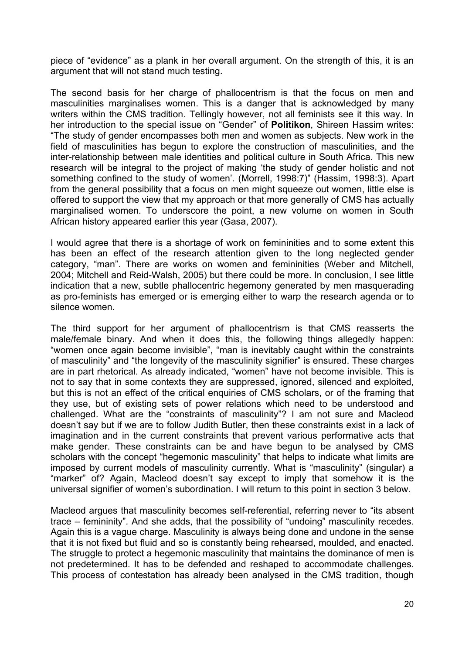piece of "evidence" as a plank in her overall argument. On the strength of this, it is an argument that will not stand much testing.

The second basis for her charge of phallocentrism is that the focus on men and masculinities marginalises women. This is a danger that is acknowledged by many writers within the CMS tradition. Tellingly however, not all feminists see it this way. In her introduction to the special issue on "Gender" of **Politikon**, Shireen Hassim writes: "The study of gender encompasses both men and women as subjects. New work in the field of masculinities has begun to explore the construction of masculinities, and the inter-relationship between male identities and political culture in South Africa. This new research will be integral to the project of making 'the study of gender holistic and not something confined to the study of women'. (Morrell, 1998:7)" (Hassim, 1998:3). Apart from the general possibility that a focus on men might squeeze out women, little else is offered to support the view that my approach or that more generally of CMS has actually marginalised women. To underscore the point, a new volume on women in South African history appeared earlier this year (Gasa, 2007).

I would agree that there is a shortage of work on femininities and to some extent this has been an effect of the research attention given to the long neglected gender category, "man". There are works on women and femininities (Weber and Mitchell, 2004; Mitchell and Reid-Walsh, 2005) but there could be more. In conclusion, I see little indication that a new, subtle phallocentric hegemony generated by men masquerading as pro-feminists has emerged or is emerging either to warp the research agenda or to silence women.

The third support for her argument of phallocentrism is that CMS reasserts the male/female binary. And when it does this, the following things allegedly happen: "women once again become invisible", "man is inevitably caught within the constraints of masculinity" and "the longevity of the masculinity signifier" is ensured. These charges are in part rhetorical. As already indicated, "women" have not become invisible. This is not to say that in some contexts they are suppressed, ignored, silenced and exploited, but this is not an effect of the critical enquiries of CMS scholars, or of the framing that they use, but of existing sets of power relations which need to be understood and challenged. What are the "constraints of masculinity"? I am not sure and Macleod doesn't say but if we are to follow Judith Butler, then these constraints exist in a lack of imagination and in the current constraints that prevent various performative acts that make gender. These constraints can be and have begun to be analysed by CMS scholars with the concept "hegemonic masculinity" that helps to indicate what limits are imposed by current models of masculinity currently. What is "masculinity" (singular) a "marker" of? Again, Macleod doesn't say except to imply that somehow it is the universal signifier of women's subordination. I will return to this point in section 3 below.

Macleod argues that masculinity becomes self-referential, referring never to "its absent trace – femininity". And she adds, that the possibility of "undoing" masculinity recedes. Again this is a vague charge. Masculinity is always being done and undone in the sense that it is not fixed but fluid and so is constantly being rehearsed, moulded, and enacted. The struggle to protect a hegemonic masculinity that maintains the dominance of men is not predetermined. It has to be defended and reshaped to accommodate challenges. This process of contestation has already been analysed in the CMS tradition, though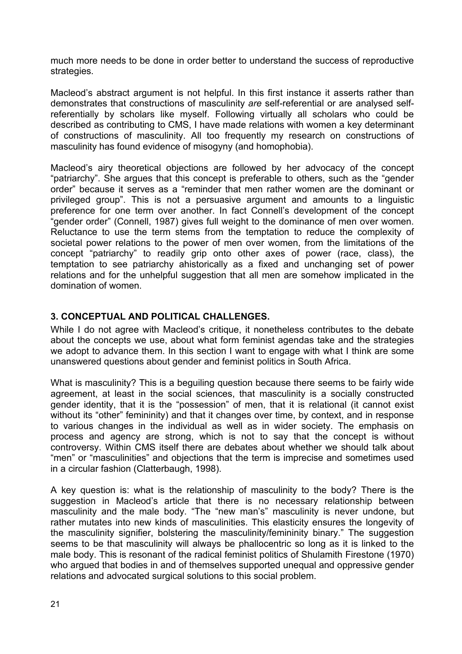much more needs to be done in order better to understand the success of reproductive strategies.

Macleod's abstract argument is not helpful. In this first instance it asserts rather than demonstrates that constructions of masculinity *are* self-referential or are analysed selfreferentially by scholars like myself. Following virtually all scholars who could be described as contributing to CMS, I have made relations with women a key determinant of constructions of masculinity. All too frequently my research on constructions of masculinity has found evidence of misogyny (and homophobia).

Macleod's airy theoretical objections are followed by her advocacy of the concept "patriarchy". She argues that this concept is preferable to others, such as the "gender order" because it serves as a "reminder that men rather women are the dominant or privileged group". This is not a persuasive argument and amounts to a linguistic preference for one term over another. In fact Connell's development of the concept "gender order" (Connell, 1987) gives full weight to the dominance of men over women. Reluctance to use the term stems from the temptation to reduce the complexity of societal power relations to the power of men over women, from the limitations of the concept "patriarchy" to readily grip onto other axes of power (race, class), the temptation to see patriarchy ahistorically as a fixed and unchanging set of power relations and for the unhelpful suggestion that all men are somehow implicated in the domination of women.

## **3. CONCEPTUAL AND POLITICAL CHALLENGES.**

While I do not agree with Macleod's critique, it nonetheless contributes to the debate about the concepts we use, about what form feminist agendas take and the strategies we adopt to advance them. In this section I want to engage with what I think are some unanswered questions about gender and feminist politics in South Africa.

What is masculinity? This is a beguiling question because there seems to be fairly wide agreement, at least in the social sciences, that masculinity is a socially constructed gender identity, that it is the "possession" of men, that it is relational (it cannot exist without its "other" femininity) and that it changes over time, by context, and in response to various changes in the individual as well as in wider society. The emphasis on process and agency are strong, which is not to say that the concept is without controversy. Within CMS itself there are debates about whether we should talk about "men" or "masculinities" and objections that the term is imprecise and sometimes used in a circular fashion (Clatterbaugh, 1998).

A key question is: what is the relationship of masculinity to the body? There is the suggestion in Macleod's article that there is no necessary relationship between masculinity and the male body. "The "new man's" masculinity is never undone, but rather mutates into new kinds of masculinities. This elasticity ensures the longevity of the masculinity signifier, bolstering the masculinity/femininity binary." The suggestion seems to be that masculinity will always be phallocentric so long as it is linked to the male body. This is resonant of the radical feminist politics of Shulamith Firestone (1970) who argued that bodies in and of themselves supported unequal and oppressive gender relations and advocated surgical solutions to this social problem.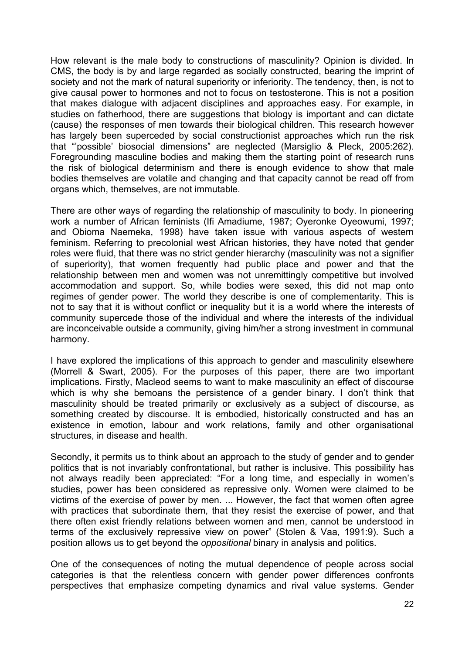How relevant is the male body to constructions of masculinity? Opinion is divided. In CMS, the body is by and large regarded as socially constructed, bearing the imprint of society and not the mark of natural superiority or inferiority. The tendency, then, is not to give causal power to hormones and not to focus on testosterone. This is not a position that makes dialogue with adjacent disciplines and approaches easy. For example, in studies on fatherhood, there are suggestions that biology is important and can dictate (cause) the responses of men towards their biological children. This research however has largely been superceded by social constructionist approaches which run the risk that "'possible' biosocial dimensions" are neglected (Marsiglio & Pleck, 2005:262). Foregrounding masculine bodies and making them the starting point of research runs the risk of biological determinism and there is enough evidence to show that male bodies themselves are volatile and changing and that capacity cannot be read off from organs which, themselves, are not immutable.

There are other ways of regarding the relationship of masculinity to body. In pioneering work a number of African feminists (Ifi Amadiume, 1987; Oyeronke Oyeowumi, 1997; and Obioma Naemeka, 1998) have taken issue with various aspects of western feminism. Referring to precolonial west African histories, they have noted that gender roles were fluid, that there was no strict gender hierarchy (masculinity was not a signifier of superiority), that women frequently had public place and power and that the relationship between men and women was not unremittingly competitive but involved accommodation and support. So, while bodies were sexed, this did not map onto regimes of gender power. The world they describe is one of complementarity. This is not to say that it is without conflict or inequality but it is a world where the interests of community supercede those of the individual and where the interests of the individual are inconceivable outside a community, giving him/her a strong investment in communal harmony.

I have explored the implications of this approach to gender and masculinity elsewhere (Morrell & Swart, 2005). For the purposes of this paper, there are two important implications. Firstly, Macleod seems to want to make masculinity an effect of discourse which is why she bemoans the persistence of a gender binary. I don't think that masculinity should be treated primarily or exclusively as a subject of discourse, as something created by discourse. It is embodied, historically constructed and has an existence in emotion, labour and work relations, family and other organisational structures, in disease and health.

Secondly, it permits us to think about an approach to the study of gender and to gender politics that is not invariably confrontational, but rather is inclusive. This possibility has not always readily been appreciated: "For a long time, and especially in women's studies, power has been considered as repressive only. Women were claimed to be victims of the exercise of power by men. ... However, the fact that women often agree with practices that subordinate them, that they resist the exercise of power, and that there often exist friendly relations between women and men, cannot be understood in terms of the exclusively repressive view on power" (Stolen & Vaa, 1991:9). Such a position allows us to get beyond the *oppositional* binary in analysis and politics.

One of the consequences of noting the mutual dependence of people across social categories is that the relentless concern with gender power differences confronts perspectives that emphasize competing dynamics and rival value systems. Gender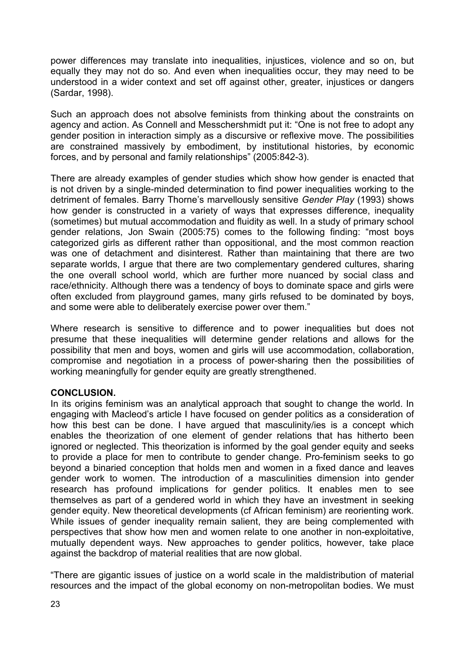power differences may translate into inequalities, injustices, violence and so on, but equally they may not do so. And even when inequalities occur, they may need to be understood in a wider context and set off against other, greater, injustices or dangers (Sardar, 1998).

Such an approach does not absolve feminists from thinking about the constraints on agency and action. As Connell and Messchershmidt put it: "One is not free to adopt any gender position in interaction simply as a discursive or reflexive move. The possibilities are constrained massively by embodiment, by institutional histories, by economic forces, and by personal and family relationships" (2005:842-3).

There are already examples of gender studies which show how gender is enacted that is not driven by a single-minded determination to find power inequalities working to the detriment of females. Barry Thorne's marvellously sensitive *Gender Play* (1993) shows how gender is constructed in a variety of ways that expresses difference, inequality (sometimes) but mutual accommodation and fluidity as well. In a study of primary school gender relations, Jon Swain (2005:75) comes to the following finding: "most boys categorized girls as different rather than oppositional, and the most common reaction was one of detachment and disinterest. Rather than maintaining that there are two separate worlds, I argue that there are two complementary gendered cultures, sharing the one overall school world, which are further more nuanced by social class and race/ethnicity. Although there was a tendency of boys to dominate space and girls were often excluded from playground games, many girls refused to be dominated by boys, and some were able to deliberately exercise power over them."

Where research is sensitive to difference and to power inequalities but does not presume that these inequalities will determine gender relations and allows for the possibility that men and boys, women and girls will use accommodation, collaboration, compromise and negotiation in a process of power-sharing then the possibilities of working meaningfully for gender equity are greatly strengthened.

### **CONCLUSION.**

In its origins feminism was an analytical approach that sought to change the world. In engaging with Macleod's article I have focused on gender politics as a consideration of how this best can be done. I have argued that masculinity/ies is a concept which enables the theorization of one element of gender relations that has hitherto been ignored or neglected. This theorization is informed by the goal gender equity and seeks to provide a place for men to contribute to gender change. Pro-feminism seeks to go beyond a binaried conception that holds men and women in a fixed dance and leaves gender work to women. The introduction of a masculinities dimension into gender research has profound implications for gender politics. It enables men to see themselves as part of a gendered world in which they have an investment in seeking gender equity. New theoretical developments (cf African feminism) are reorienting work. While issues of gender inequality remain salient, they are being complemented with perspectives that show how men and women relate to one another in non-exploitative, mutually dependent ways. New approaches to gender politics, however, take place against the backdrop of material realities that are now global.

"There are gigantic issues of justice on a world scale in the maldistribution of material resources and the impact of the global economy on non-metropolitan bodies. We must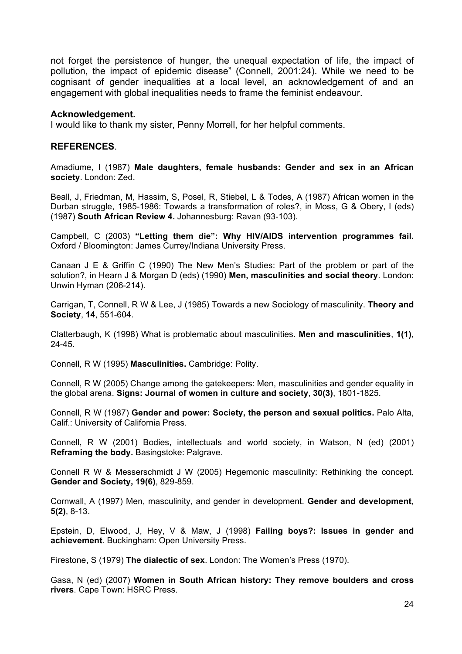not forget the persistence of hunger, the unequal expectation of life, the impact of pollution, the impact of epidemic disease" (Connell, 2001:24). While we need to be cognisant of gender inequalities at a local level, an acknowledgement of and an engagement with global inequalities needs to frame the feminist endeavour.

#### **Acknowledgement.**

I would like to thank my sister, Penny Morrell, for her helpful comments.

#### **REFERENCES**.

Amadiume, I (1987) **Male daughters, female husbands: Gender and sex in an African society**. London: Zed.

Beall, J, Friedman, M, Hassim, S, Posel, R, Stiebel, L & Todes, A (1987) African women in the Durban struggle, 1985-1986: Towards a transformation of roles?, in Moss, G & Obery, I (eds) (1987) **South African Review 4.** Johannesburg: Ravan (93-103).

Campbell, C (2003) **"Letting them die": Why HIV/AIDS intervention programmes fail.** Oxford / Bloomington: James Currey/Indiana University Press.

Canaan J E & Griffin C (1990) The New Men's Studies: Part of the problem or part of the solution?, in Hearn J & Morgan D (eds) (1990) **Men, masculinities and social theory***.* London: Unwin Hyman (206-214).

Carrigan, T, Connell, R W & Lee, J (1985) Towards a new Sociology of masculinity. **Theory and Society**, **14**, 551-604.

Clatterbaugh, K (1998) What is problematic about masculinities. **Men and masculinities**, **1(1)**, 24-45.

Connell, R W (1995) **Masculinities.** Cambridge: Polity.

Connell, R W (2005) Change among the gatekeepers: Men, masculinities and gender equality in the global arena. **Signs: Journal of women in culture and society**, **30(3)**, 1801-1825.

Connell, R W (1987) **Gender and power: Society, the person and sexual politics.** Palo Alta, Calif.: University of California Press.

Connell, R W (2001) Bodies, intellectuals and world society, in Watson, N (ed) (2001) **Reframing the body.** Basingstoke: Palgrave.

Connell R W & Messerschmidt J W (2005) Hegemonic masculinity: Rethinking the concept. **Gender and Society, 19(6)**, 829-859.

Cornwall, A (1997) Men, masculinity, and gender in development. **Gender and development**, **5(2)**, 8-13.

Epstein, D, Elwood, J, Hey, V & Maw, J (1998) **Failing boys?: Issues in gender and achievement**. Buckingham: Open University Press.

Firestone, S (1979) **The dialectic of sex**. London: The Women's Press (1970).

Gasa, N (ed) (2007) **Women in South African history: They remove boulders and cross rivers**. Cape Town: HSRC Press.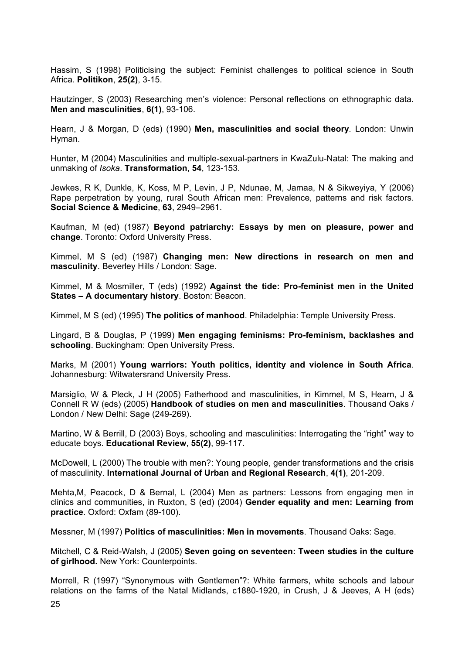Hassim, S (1998) Politicising the subject: Feminist challenges to political science in South Africa. **Politikon**, **25(2)**, 3-15.

Hautzinger, S (2003) Researching men's violence: Personal reflections on ethnographic data. **Men and masculinities**, **6(1)**, 93-106.

Hearn, J & Morgan, D (eds) (1990) **Men, masculinities and social theory***.* London: Unwin Hyman.

Hunter, M (2004) Masculinities and multiple-sexual-partners in KwaZulu-Natal: The making and unmaking of *Isoka*. **Transformation**, **54**, 123-153.

Jewkes, R K, Dunkle, K, Koss, M P, Levin, J P, Ndunae, M, Jamaa, N & Sikweyiya, Y (2006) Rape perpetration by young, rural South African men: Prevalence, patterns and risk factors. **Social Science & Medicine**, **63**, 2949–2961.

Kaufman, M (ed) (1987) **Beyond patriarchy: Essays by men on pleasure, power and change**. Toronto: Oxford University Press.

Kimmel, M S (ed) (1987) **Changing men: New directions in research on men and masculinity**. Beverley Hills / London: Sage.

Kimmel, M & Mosmiller, T (eds) (1992) **Against the tide: Pro-feminist men in the United States – A documentary history**. Boston: Beacon.

Kimmel, M S (ed) (1995) **The politics of manhood**. Philadelphia: Temple University Press.

Lingard, B & Douglas*,* P (1999) **Men engaging feminisms: Pro-feminism, backlashes and schooling**. Buckingham: Open University Press.

Marks, M (2001) **Young warriors: Youth politics, identity and violence in South Africa**. Johannesburg: Witwatersrand University Press.

Marsiglio, W & Pleck, J H (2005) Fatherhood and masculinities, in Kimmel, M S, Hearn, J & Connell R W (eds) (2005) **Handbook of studies on men and masculinities**. Thousand Oaks / London / New Delhi: Sage (249-269).

Martino, W & Berrill, D (2003) Boys, schooling and masculinities: Interrogating the "right" way to educate boys. **Educational Review**, **55(2)**, 99-117.

McDowell, L (2000) The trouble with men?: Young people, gender transformations and the crisis of masculinity. **International Journal of Urban and Regional Research**, **4(1)**, 201-209.

Mehta,M, Peacock, D & Bernal, L (2004) Men as partners: Lessons from engaging men in clinics and communities, in Ruxton, S (ed) (2004) **Gender equality and men: Learning from practice**. Oxford: Oxfam (89-100).

Messner, M (1997) **Politics of masculinities: Men in movements**. Thousand Oaks: Sage.

Mitchell, C & Reid-Walsh, J (2005) **Seven going on seventeen: Tween studies in the culture of girlhood.** New York: Counterpoints.

Morrell, R (1997) "Synonymous with Gentlemen"?: White farmers, white schools and labour relations on the farms of the Natal Midlands, c1880-1920, in Crush, J & Jeeves, A H (eds)